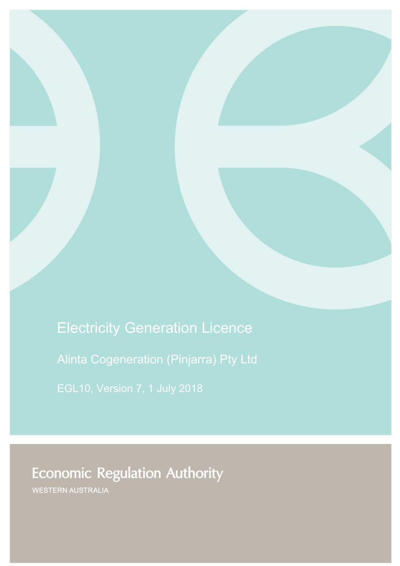Electricity Generation Licence

Alinta Cogeneration (Pinjarra) Pty Ltd

**Economic Regulation Authority** 

WESTERN AUSTRALIA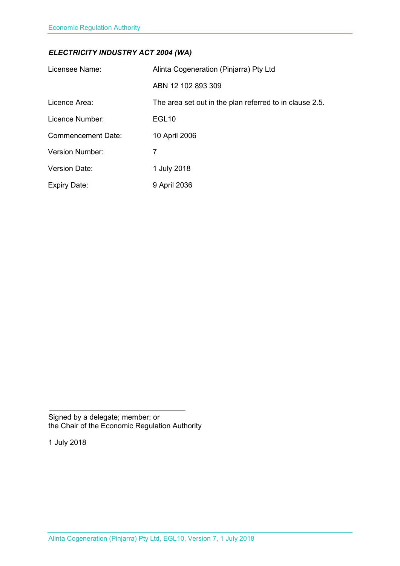## *ELECTRICITY INDUSTRY ACT 2004 (WA)*

| Licensee Name:            | Alinta Cogeneration (Pinjarra) Pty Ltd                  |
|---------------------------|---------------------------------------------------------|
|                           | ABN 12 102 893 309                                      |
| Licence Area:             | The area set out in the plan referred to in clause 2.5. |
| Licence Number:           | EGL <sub>10</sub>                                       |
| <b>Commencement Date:</b> | 10 April 2006                                           |
| <b>Version Number:</b>    | 7                                                       |
| <b>Version Date:</b>      | 1 July 2018                                             |
| <b>Expiry Date:</b>       | 9 April 2036                                            |

Signed by a delegate; member; or the Chair of the Economic Regulation Authority

1 July 2018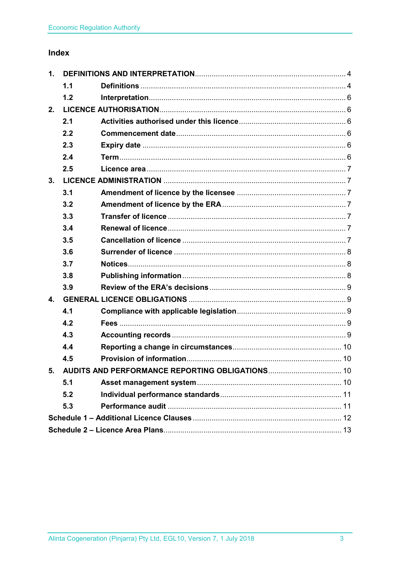# Index

| 1.                                                 |     |  |  |
|----------------------------------------------------|-----|--|--|
|                                                    | 1.1 |  |  |
|                                                    | 1.2 |  |  |
| 2.                                                 |     |  |  |
|                                                    | 2.1 |  |  |
|                                                    | 2.2 |  |  |
|                                                    | 2.3 |  |  |
|                                                    | 2.4 |  |  |
|                                                    | 2.5 |  |  |
| 3.                                                 |     |  |  |
|                                                    | 3.1 |  |  |
|                                                    | 3.2 |  |  |
|                                                    | 3.3 |  |  |
|                                                    | 3.4 |  |  |
|                                                    | 3.5 |  |  |
|                                                    | 3.6 |  |  |
|                                                    | 3.7 |  |  |
|                                                    | 3.8 |  |  |
|                                                    | 3.9 |  |  |
| 4.                                                 |     |  |  |
|                                                    | 4.1 |  |  |
|                                                    | 4.2 |  |  |
|                                                    | 4.3 |  |  |
|                                                    | 4.4 |  |  |
|                                                    | 4.5 |  |  |
| 5. AUDITS AND PERFORMANCE REPORTING OBLIGATIONS 10 |     |  |  |
|                                                    | 5.1 |  |  |
|                                                    | 5.2 |  |  |
|                                                    | 5.3 |  |  |
|                                                    |     |  |  |
|                                                    |     |  |  |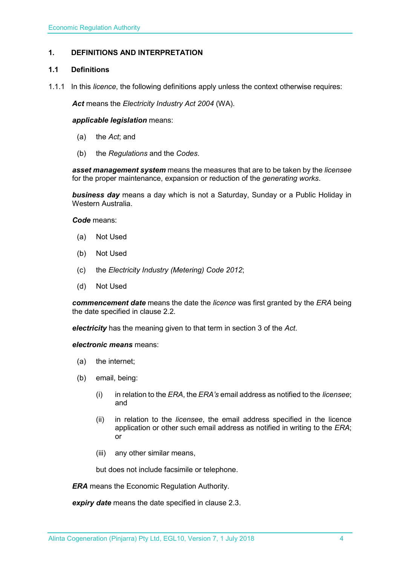### <span id="page-3-0"></span>**1. DEFINITIONS AND INTERPRETATION**

#### <span id="page-3-1"></span>**1.1 Definitions**

1.1.1 In this *licence*, the following definitions apply unless the context otherwise requires:

*Act* means the *Electricity Industry Act 2004* (WA).

#### *applicable legislation* means:

- (a) the *Act*; and
- (b) the *Regulations* and the *Codes*.

*asset management system* means the measures that are to be taken by the *licensee* for the proper maintenance, expansion or reduction of the *generating works*.

*business day* means a day which is not a Saturday, Sunday or a Public Holiday in Western Australia.

*Code* means:

- (a) Not Used
- (b) Not Used
- (c) the *Electricity Industry (Metering) Code 2012*;
- (d) Not Used

*commencement date* means the date the *licence* was first granted by the *ERA* being the date specified in clause 2.2.

*electricity* has the meaning given to that term in section 3 of the *Act*.

*electronic means* means:

- (a) the internet;
- (b) email, being:
	- (i) in relation to the *ERA*, the *ERA's* email address as notified to the *licensee*; and
	- (ii) in relation to the *licensee*, the email address specified in the licence application or other such email address as notified in writing to the *ERA*; or
	- (iii) any other similar means,

but does not include facsimile or telephone.

*ERA* means the Economic Regulation Authority.

*expiry date* means the date specified in clause 2.3.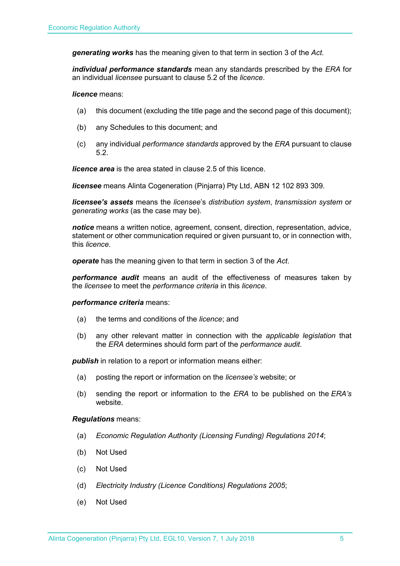*generating works* has the meaning given to that term in section 3 of the *Act.*

*individual performance standards* mean any standards prescribed by the *ERA* for an individual *licensee* pursuant to clause 5.2 of the *licence*.

*licence* means:

- (a) this document (excluding the title page and the second page of this document);
- (b) any Schedules to this document; and
- (c) any individual *performance standards* approved by the *ERA* pursuant to clause 5.2.

*licence area* is the area stated in clause 2.5 of this licence.

*licensee* means Alinta Cogeneration (Pinjarra) Pty Ltd, ABN 12 102 893 309.

*licensee's assets* means the *licensee*'s *distribution system*, *transmission system* or *generating works* (as the case may be).

*notice* means a written notice, agreement, consent, direction, representation, advice, statement or other communication required or given pursuant to, or in connection with, this *licence*.

*operate* has the meaning given to that term in section 3 of the *Act*.

*performance audit* means an audit of the effectiveness of measures taken by the *licensee* to meet the *performance criteria* in this *licence*.

#### *performance criteria* means:

- (a) the terms and conditions of the *licence*; and
- (b) any other relevant matter in connection with the *applicable legislation* that the *ERA* determines should form part of the *performance audit*.

**publish** in relation to a report or information means either:

- (a) posting the report or information on the *licensee's* website; or
- (b) sending the report or information to the *ERA* to be published on the *ERA's* website.

#### *Regulations* means:

- (a) *Economic Regulation Authority (Licensing Funding) Regulations 2014*;
- (b) Not Used
- (c) Not Used
- (d) *Electricity Industry (Licence Conditions) Regulations 2005*;
- (e) Not Used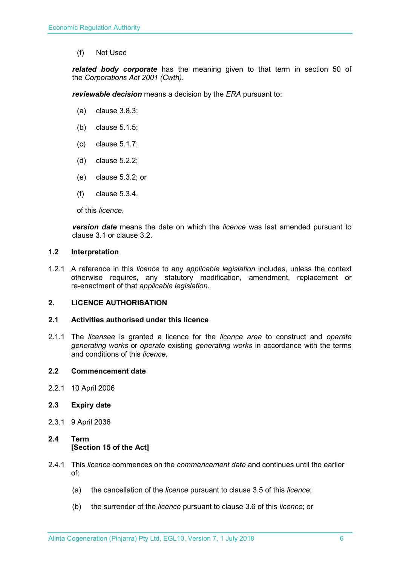(f) Not Used

*related body corporate* has the meaning given to that term in section 50 of the *Corporations Act 2001 (Cwth)*.

*reviewable decision* means a decision by the *ERA* pursuant to:

- (a) clause 3.8.3;
- (b) clause 5.1.5;
- (c) clause 5.1.7;
- (d) clause 5.2.2;
- (e) clause 5.3.2; or
- (f) clause 5.3.4,

of this *licence*.

*version date* means the date on which the *licence* was last amended pursuant to clause 3.1 or clause 3.2.

#### <span id="page-5-0"></span>**1.2 Interpretation**

1.2.1 A reference in this *licence* to any *applicable legislation* includes, unless the context otherwise requires, any statutory modification, amendment, replacement or re-enactment of that *applicable legislation*.

#### <span id="page-5-1"></span>**2. LICENCE AUTHORISATION**

#### <span id="page-5-2"></span>**2.1 Activities authorised under this licence**

2.1.1 The *licensee* is granted a licence for the *licence area* to construct and *operate generating works* or *operate* existing *generating works* in accordance with the terms and conditions of this *licence*.

#### <span id="page-5-3"></span>**2.2 Commencement date**

2.2.1 10 April 2006

#### <span id="page-5-4"></span>**2.3 Expiry date**

2.3.1 9 April 2036

### <span id="page-5-5"></span>**2.4 Term [Section 15 of the Act]**

- 2.4.1 This *licence* commences on the *commencement date* and continues until the earlier of:
	- (a) the cancellation of the *licence* pursuant to clause 3.5 of this *licence*;
	- (b) the surrender of the *licence* pursuant to clause 3.6 of this *licence*; or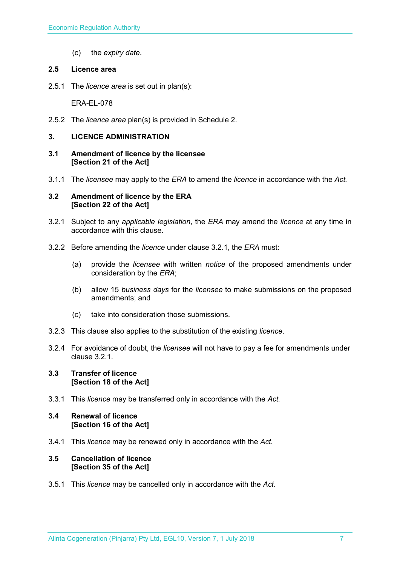(c) the *expiry date*.

#### <span id="page-6-0"></span>**2.5 Licence area**

2.5.1 The *licence area* is set out in plan(s):

ERA-EL-078

2.5.2 The *licence area* plan(s) is provided in Schedule 2.

#### <span id="page-6-1"></span>**3. LICENCE ADMINISTRATION**

- <span id="page-6-2"></span>**3.1 Amendment of licence by the licensee [Section 21 of the Act]**
- 3.1.1 The *licensee* may apply to the *ERA* to amend the *licence* in accordance with the *Act.*

#### <span id="page-6-3"></span>**3.2 Amendment of licence by the ERA [Section 22 of the Act]**

- 3.2.1 Subject to any *applicable legislation*, the *ERA* may amend the *licence* at any time in accordance with this clause.
- 3.2.2 Before amending the *licence* under clause 3.2.1, the *ERA* must:
	- (a) provide the *licensee* with written *notice* of the proposed amendments under consideration by the *ERA*;
	- (b) allow 15 *business days* for the *licensee* to make submissions on the proposed amendments; and
	- (c) take into consideration those submissions.
- 3.2.3 This clause also applies to the substitution of the existing *licence*.
- 3.2.4 For avoidance of doubt, the *licensee* will not have to pay a fee for amendments under clause 3.2.1.

#### <span id="page-6-4"></span>**3.3 Transfer of licence [Section 18 of the Act]**

3.3.1 This *licence* may be transferred only in accordance with the *Act.*

#### <span id="page-6-5"></span>**3.4 Renewal of licence [Section 16 of the Act]**

3.4.1 This *licence* may be renewed only in accordance with the *Act*.

#### <span id="page-6-6"></span>**3.5 Cancellation of licence [Section 35 of the Act]**

3.5.1 This *licence* may be cancelled only in accordance with the *Act*.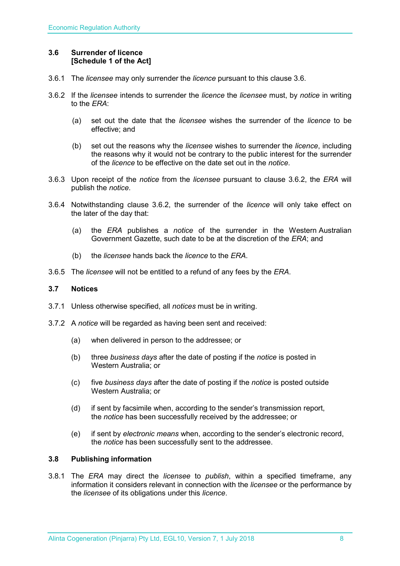#### <span id="page-7-0"></span>**3.6 Surrender of licence [Schedule 1 of the Act]**

- 3.6.1 The *licensee* may only surrender the *licence* pursuant to this clause 3.6.
- 3.6.2 If the *licensee* intends to surrender the *licence* the *licensee* must, by *notice* in writing to the *ERA*:
	- (a) set out the date that the *licensee* wishes the surrender of the *licence* to be effective; and
	- (b) set out the reasons why the *licensee* wishes to surrender the *licence*, including the reasons why it would not be contrary to the public interest for the surrender of the *licence* to be effective on the date set out in the *notice*.
- 3.6.3 Upon receipt of the *notice* from the *licensee* pursuant to clause 3.6.2, the *ERA* will publish the *notice*.
- 3.6.4 Notwithstanding clause 3.6.2, the surrender of the *licence* will only take effect on the later of the day that:
	- (a) the *ERA* publishes a *notice* of the surrender in the Western Australian Government Gazette, such date to be at the discretion of the *ERA*; and
	- (b) the *licensee* hands back the *licence* to the *ERA*.
- 3.6.5 The *licensee* will not be entitled to a refund of any fees by the *ERA*.

#### <span id="page-7-1"></span>**3.7 Notices**

- 3.7.1 Unless otherwise specified, all *notices* must be in writing.
- 3.7.2 A *notice* will be regarded as having been sent and received:
	- (a) when delivered in person to the addressee; or
	- (b) three *business days* after the date of posting if the *notice* is posted in Western Australia; or
	- (c) five *business days* after the date of posting if the *notice* is posted outside Western Australia; or
	- (d) if sent by facsimile when, according to the sender's transmission report, the *notice* has been successfully received by the addressee; or
	- (e) if sent by *electronic means* when, according to the sender's electronic record, the *notice* has been successfully sent to the addressee.

#### <span id="page-7-2"></span>**3.8 Publishing information**

3.8.1 The *ERA* may direct the *licensee* to *publish*, within a specified timeframe, any information it considers relevant in connection with the *licensee* or the performance by the *licensee* of its obligations under this *licence*.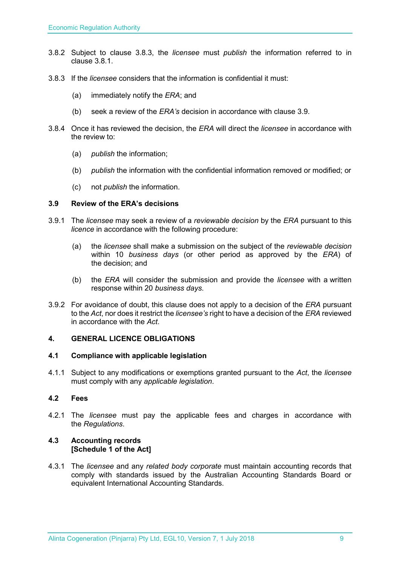- 3.8.2 Subject to clause 3.8.3, the *licensee* must *publish* the information referred to in clause 3.8.1.
- 3.8.3 If the *licensee* considers that the information is confidential it must:
	- (a) immediately notify the *ERA*; and
	- (b) seek a review of the *ERA's* decision in accordance with clause 3.9.
- 3.8.4 Once it has reviewed the decision, the *ERA* will direct the *licensee* in accordance with the review to:
	- (a) *publish* the information;
	- (b) *publish* the information with the confidential information removed or modified; or
	- (c) not *publish* the information.

#### <span id="page-8-0"></span>**3.9 Review of the ERA's decisions**

- 3.9.1 The *licensee* may seek a review of a *reviewable decision* by the *ERA* pursuant to this *licence* in accordance with the following procedure:
	- (a) the *licensee* shall make a submission on the subject of the *reviewable decision* within 10 *business days* (or other period as approved by the *ERA*) of the decision; and
	- (b) the *ERA* will consider the submission and provide the *licensee* with a written response within 20 *business days*.
- 3.9.2 For avoidance of doubt, this clause does not apply to a decision of the *ERA* pursuant to the *Act*, nor does it restrict the *licensee's* right to have a decision of the *ERA* reviewed in accordance with the *Act*.

### <span id="page-8-1"></span>**4. GENERAL LICENCE OBLIGATIONS**

#### <span id="page-8-2"></span>**4.1 Compliance with applicable legislation**

4.1.1 Subject to any modifications or exemptions granted pursuant to the *Act*, the *licensee* must comply with any *applicable legislation*.

#### <span id="page-8-3"></span>**4.2 Fees**

4.2.1 The *licensee* must pay the applicable fees and charges in accordance with the *Regulations*.

#### <span id="page-8-4"></span>**4.3 Accounting records [Schedule 1 of the Act]**

4.3.1 The *licensee* and any *related body corporate* must maintain accounting records that comply with standards issued by the Australian Accounting Standards Board or equivalent International Accounting Standards.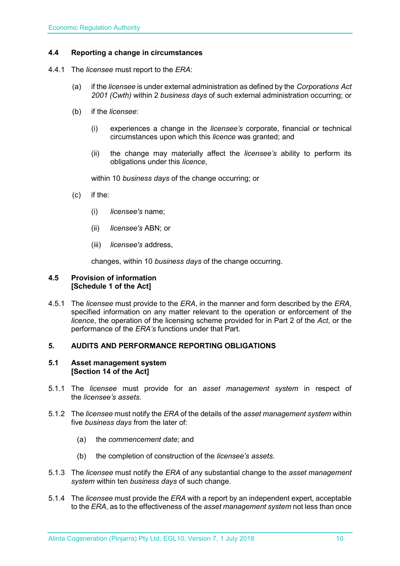### <span id="page-9-0"></span>**4.4 Reporting a change in circumstances**

- 4.4.1 The *licensee* must report to the *ERA*:
	- (a) if the *licensee* is under external administration as defined by the *Corporations Act 2001 (Cwth)* within 2 *business days* of such external administration occurring; or
	- (b) if the *licensee*:
		- (i) experiences a change in the *licensee's* corporate, financial or technical circumstances upon which this *licence* was granted; and
		- (ii) the change may materially affect the *licensee's* ability to perform its obligations under this *licence*,

within 10 *business days* of the change occurring; or

- (c) if the:
	- (i) *licensee's* name;
	- (ii) *licensee's* ABN; or
	- (iii) *licensee's* address,

changes, within 10 *business days* of the change occurring.

#### <span id="page-9-1"></span>**4.5 Provision of information [Schedule 1 of the Act]**

4.5.1 The *licensee* must provide to the *ERA*, in the manner and form described by the *ERA*, specified information on any matter relevant to the operation or enforcement of the *licence*, the operation of the licensing scheme provided for in Part 2 of the *Act*, or the performance of the *ERA's* functions under that Part.

#### <span id="page-9-2"></span>**5. AUDITS AND PERFORMANCE REPORTING OBLIGATIONS**

#### <span id="page-9-3"></span>**5.1 Asset management system [Section 14 of the Act]**

- 5.1.1 The *licensee* must provide for an *asset management system* in respect of the *licensee's assets*.
- 5.1.2 The *licensee* must notify the *ERA* of the details of the *asset management system* within five *business days* from the later of:
	- (a) the *commencement date*; and
	- (b) the completion of construction of the *licensee's assets*.
- 5.1.3 The *licensee* must notify the *ERA* of any substantial change to the *asset management system* within ten *business days* of such change.
- 5.1.4 The *licensee* must provide the *ERA* with a report by an independent expert, acceptable to the *ERA*, as to the effectiveness of the *asset management system* not less than once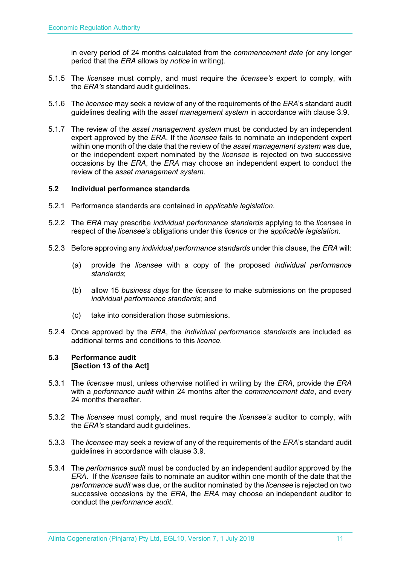in every period of 24 months calculated from the *commencement date (*or any longer period that the *ERA* allows by *notice* in writing).

- 5.1.5 The *licensee* must comply, and must require the *licensee's* expert to comply, with the *ERA's* standard audit guidelines.
- 5.1.6 The *licensee* may seek a review of any of the requirements of the *ERA*'s standard audit guidelines dealing with the *asset management system* in accordance with clause 3.9.
- 5.1.7 The review of the *asset management system* must be conducted by an independent expert approved by the *ERA*. If the *licensee* fails to nominate an independent expert within one month of the date that the review of the *asset management system* was due, or the independent expert nominated by the *licensee* is rejected on two successive occasions by the *ERA*, the *ERA* may choose an independent expert to conduct the review of the *asset management system*.

#### <span id="page-10-0"></span>**5.2 Individual performance standards**

- 5.2.1 Performance standards are contained in *applicable legislation*.
- 5.2.2 The *ERA* may prescribe *individual performance standards* applying to the *licensee* in respect of the *licensee's* obligations under this *licence* or the *applicable legislation*.
- 5.2.3 Before approving any *individual performance standards* under this clause, the *ERA* will:
	- (a) provide the *licensee* with a copy of the proposed *individual performance standards*;
	- (b) allow 15 *business days* for the *licensee* to make submissions on the proposed *individual performance standards*; and
	- (c) take into consideration those submissions.
- 5.2.4 Once approved by the *ERA*, the *individual performance standards* are included as additional terms and conditions to this *licence*.

#### <span id="page-10-1"></span>**5.3 Performance audit [Section 13 of the Act]**

- 5.3.1 The *licensee* must, unless otherwise notified in writing by the *ERA*, provide the *ERA* with a *performance audit* within 24 months after the *commencement date*, and every 24 months thereafter.
- 5.3.2 The *licensee* must comply, and must require the *licensee's* auditor to comply, with the *ERA's* standard audit guidelines.
- 5.3.3 The *licensee* may seek a review of any of the requirements of the *ERA*'s standard audit guidelines in accordance with clause 3.9.
- 5.3.4 The *performance audit* must be conducted by an independent auditor approved by the *ERA*. If the *licensee* fails to nominate an auditor within one month of the date that the *performance audit* was due, or the auditor nominated by the *licensee* is rejected on two successive occasions by the *ERA*, the *ERA* may choose an independent auditor to conduct the *performance audit*.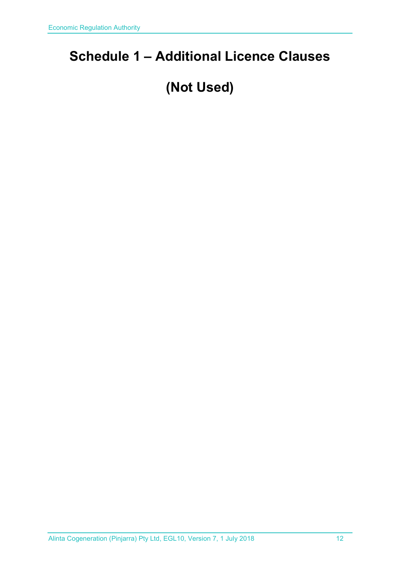# <span id="page-11-0"></span>**Schedule 1 – Additional Licence Clauses**

# **(Not Used)**

Alinta Cogeneration (Pinjarra) Pty Ltd, EGL10, Version 7, 1 July 2018 12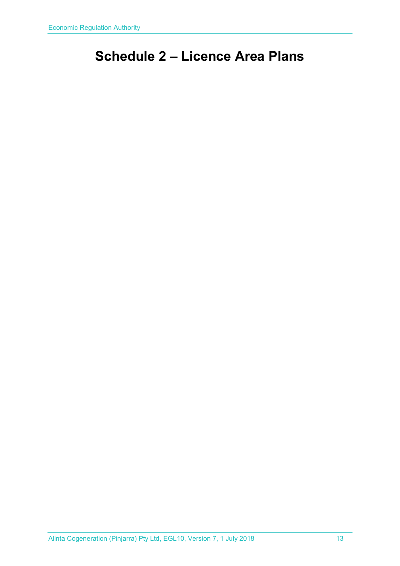# <span id="page-12-0"></span>**Schedule 2 – Licence Area Plans**